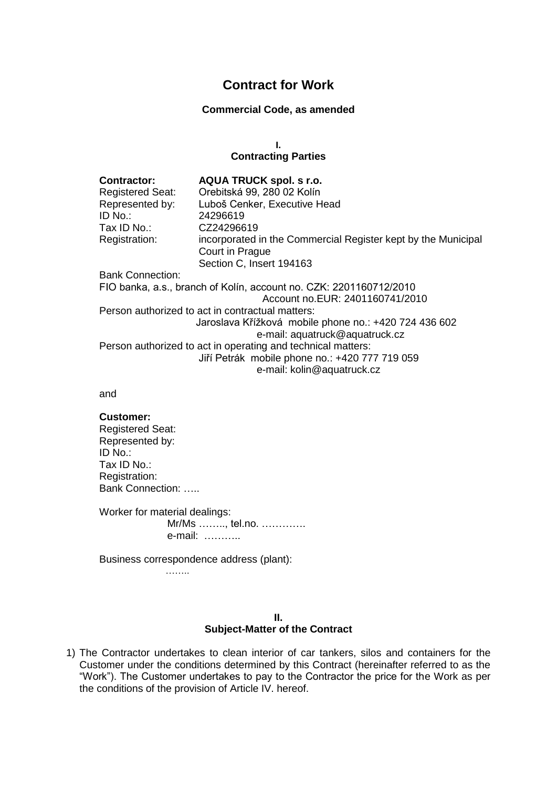# **Contract for Work**

### **Commercial Code, as amended**

**I.**

### **Contracting Parties**

| <b>Contractor:</b><br><b>Registered Seat:</b>                      | <b>AQUA TRUCK spol. s r.o.</b><br>Orebitská 99, 280 02 Kolín  |
|--------------------------------------------------------------------|---------------------------------------------------------------|
| Represented by:                                                    | Luboš Cenker, Executive Head                                  |
| ID No.:                                                            | 24296619                                                      |
| Tax ID No.:                                                        | CZ24296619                                                    |
| Registration:                                                      | incorporated in the Commercial Register kept by the Municipal |
|                                                                    | Court in Prague                                               |
|                                                                    | Section C, Insert 194163                                      |
| <b>Bank Connection:</b>                                            |                                                               |
| FIO banka, a.s., branch of Kolín, account no. CZK: 2201160712/2010 |                                                               |
|                                                                    | Account no.EUR: 2401160741/2010                               |
| Person authorized to act in contractual matters:                   |                                                               |
|                                                                    | Jaroslava Křížková mobile phone no.: +420 724 436 602         |
|                                                                    | e-mail: aquatruck@aquatruck.cz                                |
| Person authorized to act in operating and technical matters:       |                                                               |
|                                                                    | Jiří Petrák mobile phone no.: +420 777 719 059                |
|                                                                    | e-mail: kolin@aquatruck.cz                                    |

and

#### **Customer:**

Registered Seat: Represented by: ID No.: Tax ID No.: Registration: Bank Connection: …..

Worker for material dealings: Mr/Ms …….., tel.no. …………. e-mail: ………..

Business correspondence address (plant):

……..

#### **II. Subject-Matter of the Contract**

1) The Contractor undertakes to clean interior of car tankers, silos and containers for the Customer under the conditions determined by this Contract (hereinafter referred to as the "Work"). The Customer undertakes to pay to the Contractor the price for the Work as per the conditions of the provision of Article IV. hereof.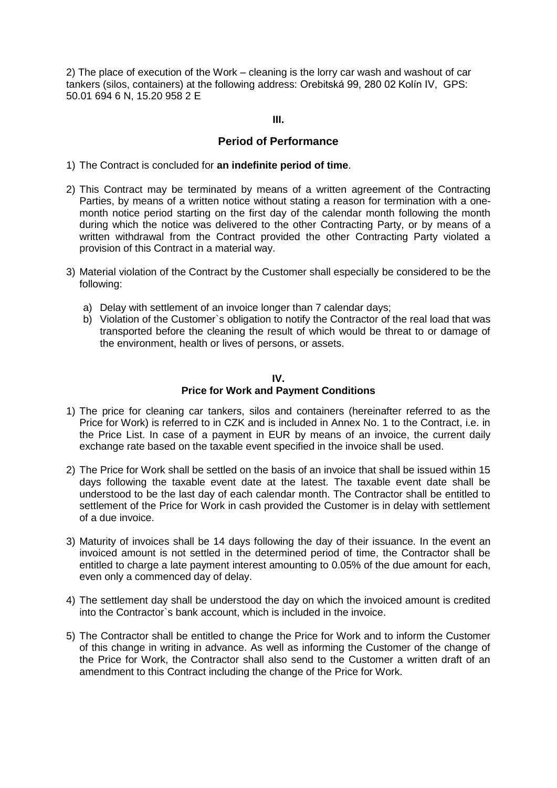2) The place of execution of the Work – cleaning is the lorry car wash and washout of car tankers (silos, containers) at the following address: Orebitská 99, 280 02 Kolín IV, GPS: 50.01 694 6 N, 15.20 958 2 E

**III.**

# **Period of Performance**

- 1) The Contract is concluded for **an indefinite period of time**.
- 2) This Contract may be terminated by means of a written agreement of the Contracting Parties, by means of a written notice without stating a reason for termination with a onemonth notice period starting on the first day of the calendar month following the month during which the notice was delivered to the other Contracting Party, or by means of a written withdrawal from the Contract provided the other Contracting Party violated a provision of this Contract in a material way.
- 3) Material violation of the Contract by the Customer shall especially be considered to be the following:
	- a) Delay with settlement of an invoice longer than 7 calendar days;
	- b) Violation of the Customer`s obligation to notify the Contractor of the real load that was transported before the cleaning the result of which would be threat to or damage of the environment, health or lives of persons, or assets.

### **IV.**

# **Price for Work and Payment Conditions**

- 1) The price for cleaning car tankers, silos and containers (hereinafter referred to as the Price for Work) is referred to in CZK and is included in Annex No. 1 to the Contract, i.e. in the Price List. In case of a payment in EUR by means of an invoice, the current daily exchange rate based on the taxable event specified in the invoice shall be used.
- 2) The Price for Work shall be settled on the basis of an invoice that shall be issued within 15 days following the taxable event date at the latest. The taxable event date shall be understood to be the last day of each calendar month. The Contractor shall be entitled to settlement of the Price for Work in cash provided the Customer is in delay with settlement of a due invoice.
- 3) Maturity of invoices shall be 14 days following the day of their issuance. In the event an invoiced amount is not settled in the determined period of time, the Contractor shall be entitled to charge a late payment interest amounting to 0.05% of the due amount for each, even only a commenced day of delay.
- 4) The settlement day shall be understood the day on which the invoiced amount is credited into the Contractor`s bank account, which is included in the invoice.
- 5) The Contractor shall be entitled to change the Price for Work and to inform the Customer of this change in writing in advance. As well as informing the Customer of the change of the Price for Work, the Contractor shall also send to the Customer a written draft of an amendment to this Contract including the change of the Price for Work.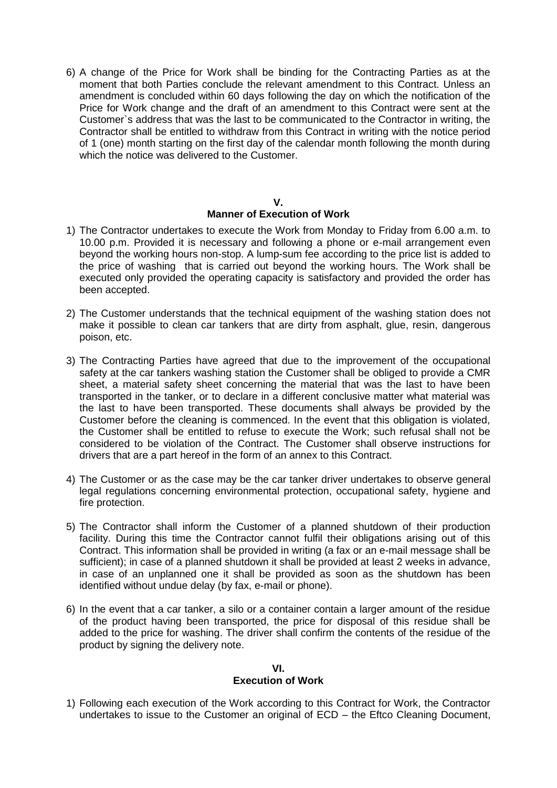6) A change of the Price for Work shall be binding for the Contracting Parties as at the moment that both Parties conclude the relevant amendment to this Contract. Unless an amendment is concluded within 60 days following the day on which the notification of the Price for Work change and the draft of an amendment to this Contract were sent at the Customer`s address that was the last to be communicated to the Contractor in writing, the Contractor shall be entitled to withdraw from this Contract in writing with the notice period of 1 (one) month starting on the first day of the calendar month following the month during which the notice was delivered to the Customer.

### **V. Manner of Execution of Work**

- 1) The Contractor undertakes to execute the Work from Monday to Friday from 6.00 a.m. to 10.00 p.m. Provided it is necessary and following a phone or e-mail arrangement even beyond the working hours non-stop. A lump-sum fee according to the price list is added to the price of washing that is carried out beyond the working hours. The Work shall be executed only provided the operating capacity is satisfactory and provided the order has been accepted.
- 2) The Customer understands that the technical equipment of the washing station does not make it possible to clean car tankers that are dirty from asphalt, glue, resin, dangerous poison, etc.
- 3) The Contracting Parties have agreed that due to the improvement of the occupational safety at the car tankers washing station the Customer shall be obliged to provide a CMR sheet, a material safety sheet concerning the material that was the last to have been transported in the tanker, or to declare in a different conclusive matter what material was the last to have been transported. These documents shall always be provided by the Customer before the cleaning is commenced. In the event that this obligation is violated, the Customer shall be entitled to refuse to execute the Work; such refusal shall not be considered to be violation of the Contract. The Customer shall observe instructions for drivers that are a part hereof in the form of an annex to this Contract.
- 4) The Customer or as the case may be the car tanker driver undertakes to observe general legal regulations concerning environmental protection, occupational safety, hygiene and fire protection.
- 5) The Contractor shall inform the Customer of a planned shutdown of their production facility. During this time the Contractor cannot fulfil their obligations arising out of this Contract. This information shall be provided in writing (a fax or an e-mail message shall be sufficient); in case of a planned shutdown it shall be provided at least 2 weeks in advance, in case of an unplanned one it shall be provided as soon as the shutdown has been identified without undue delay (by fax, e-mail or phone).
- 6) In the event that a car tanker, a silo or a container contain a larger amount of the residue of the product having been transported, the price for disposal of this residue shall be added to the price for washing. The driver shall confirm the contents of the residue of the product by signing the delivery note.

#### **VI. Execution of Work**

1) Following each execution of the Work according to this Contract for Work, the Contractor undertakes to issue to the Customer an original of ECD – the Eftco Cleaning Document,